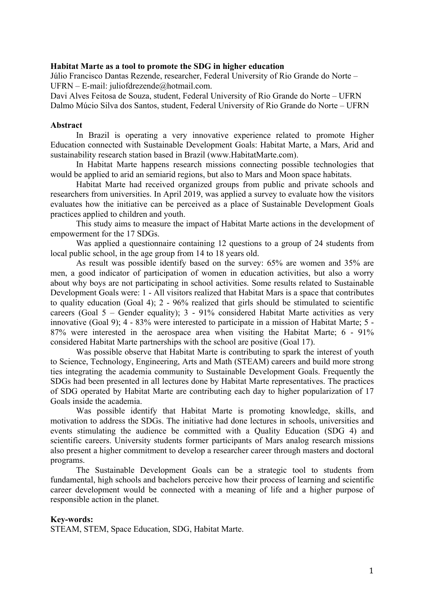#### **Habitat Marte as a tool to promote the SDG in higher education**

Júlio Francisco Dantas Rezende, researcher, Federal University of Rio Grande do Norte – UFRN – E-mail: juliofdrezende@hotmail.com.

Davi Alves Feitosa de Souza, student, Federal University of Rio Grande do Norte – UFRN Dalmo Múcio Silva dos Santos, student, Federal University of Rio Grande do Norte – UFRN

#### **Abstract**

In Brazil is operating a very innovative experience related to promote Higher Education connected with Sustainable Development Goals: Habitat Marte, a Mars, Arid and sustainability research station based in Brazil (www.HabitatMarte.com).

In Habitat Marte happens research missions connecting possible technologies that would be applied to arid an semiarid regions, but also to Mars and Moon space habitats.

Habitat Marte had received organized groups from public and private schools and researchers from universities. In April 2019, was applied a survey to evaluate how the visitors evaluates how the initiative can be perceived as a place of Sustainable Development Goals practices applied to children and youth.

This study aims to measure the impact of Habitat Marte actions in the development of empowerment for the 17 SDGs.

Was applied a questionnaire containing 12 questions to a group of 24 students from local public school, in the age group from 14 to 18 years old.

As result was possible identify based on the survey: 65% are women and 35% are men, a good indicator of participation of women in education activities, but also a worry about why boys are not participating in school activities. Some results related to Sustainable Development Goals were: 1 - All visitors realized that Habitat Mars is a space that contributes to quality education (Goal 4); 2 - 96% realized that girls should be stimulated to scientific careers (Goal 5 – Gender equality); 3 - 91% considered Habitat Marte activities as very innovative (Goal 9); 4 - 83% were interested to participate in a mission of Habitat Marte; 5 - 87% were interested in the aerospace area when visiting the Habitat Marte; 6 - 91% considered Habitat Marte partnerships with the school are positive (Goal 17).

Was possible observe that Habitat Marte is contributing to spark the interest of youth to Science, Technology, Engineering, Arts and Math (STEAM) careers and build more strong ties integrating the academia community to Sustainable Development Goals. Frequently the SDGs had been presented in all lectures done by Habitat Marte representatives. The practices of SDG operated by Habitat Marte are contributing each day to higher popularization of 17 Goals inside the academia.

Was possible identify that Habitat Marte is promoting knowledge, skills, and motivation to address the SDGs. The initiative had done lectures in schools, universities and events stimulating the audience be committed with a Quality Education (SDG 4) and scientific careers. University students former participants of Mars analog research missions also present a higher commitment to develop a researcher career through masters and doctoral programs.

The Sustainable Development Goals can be a strategic tool to students from fundamental, high schools and bachelors perceive how their process of learning and scientific career development would be connected with a meaning of life and a higher purpose of responsible action in the planet.

#### **Key-words:**

STEAM, STEM, Space Education, SDG, Habitat Marte.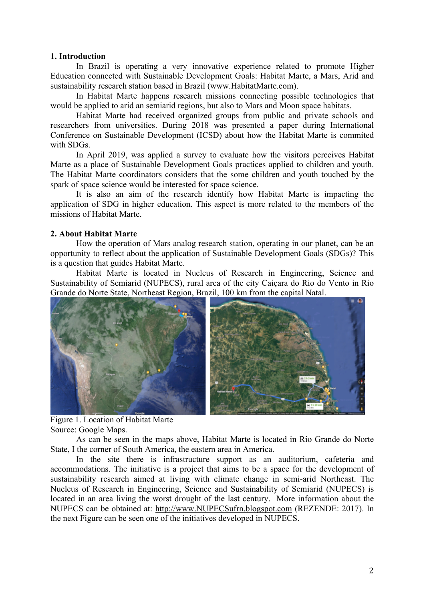## **1. Introduction**

In Brazil is operating a very innovative experience related to promote Higher Education connected with Sustainable Development Goals: Habitat Marte, a Mars, Arid and sustainability research station based in Brazil (www.HabitatMarte.com).

In Habitat Marte happens research missions connecting possible technologies that would be applied to arid an semiarid regions, but also to Mars and Moon space habitats.

Habitat Marte had received organized groups from public and private schools and researchers from universities. During 2018 was presented a paper during International Conference on Sustainable Development (ICSD) about how the Habitat Marte is commited with SDGs.

In April 2019, was applied a survey to evaluate how the visitors perceives Habitat Marte as a place of Sustainable Development Goals practices applied to children and youth. The Habitat Marte coordinators considers that the some children and youth touched by the spark of space science would be interested for space science.

It is also an aim of the research identify how Habitat Marte is impacting the application of SDG in higher education. This aspect is more related to the members of the missions of Habitat Marte.

# **2. About Habitat Marte**

How the operation of Mars analog research station, operating in our planet, can be an opportunity to reflect about the application of Sustainable Development Goals (SDGs)? This is a question that guides Habitat Marte.

Habitat Marte is located in Nucleus of Research in Engineering, Science and Sustainability of Semiarid (NUPECS), rural area of the city Caiçara do Rio do Vento in Rio Grande do Norte State, Northeast Region, Brazil, 100 km from the capital Natal.



 Figure 1. Location of Habitat Marte Source: Google Maps.

As can be seen in the maps above, Habitat Marte is located in Rio Grande do Norte State, I the corner of South America, the eastern area in America.

In the site there is infrastructure support as an auditorium, cafeteria and accommodations. The initiative is a project that aims to be a space for the development of sustainability research aimed at living with climate change in semi-arid Northeast. The Nucleus of Research in Engineering, Science and Sustainability of Semiarid (NUPECS) is located in an area living the worst drought of the last century. More information about the NUPECS can be obtained at: http://www.NUPECSufrn.blogspot.com (REZENDE: 2017). In the next Figure can be seen one of the initiatives developed in NUPECS.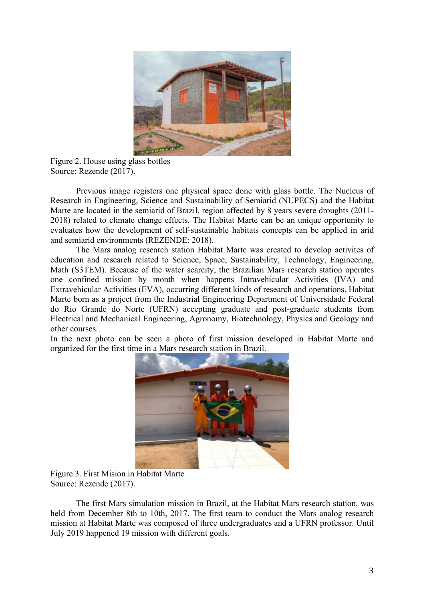

Figure 2. House using glass bottles Source: Rezende (2017).

Previous image registers one physical space done with glass bottle. The Nucleus of Research in Engineering, Science and Sustainability of Semiarid (NUPECS) and the Habitat Marte are located in the semiarid of Brazil, region affected by 8 years severe droughts (2011- 2018) related to climate change effects. The Habitat Marte can be an unique opportunity to evaluates how the development of self-sustainable habitats concepts can be applied in arid and semiarid environments (REZENDE: 2018).

The Mars analog research station Habitat Marte was created to develop activites of education and research related to Science, Space, Sustainability, Technology, Engineering, Math (S3TEM). Because of the water scarcity, the Brazilian Mars research station operates one confined mission by month when happens Intravehicular Activities (IVA) and Extravehicular Activities (EVA), occurring different kinds of research and operations. Habitat Marte born as a project from the Industrial Engineering Department of Universidade Federal do Rio Grande do Norte (UFRN) accepting graduate and post-graduate students from Electrical and Mechanical Engineering, Agronomy, Biotechnology, Physics and Geology and other courses.

In the next photo can be seen a photo of first mission developed in Habitat Marte and organized for the first time in a Mars research station in Brazil.



Figure 3. First Mision in Habitat Marte Source: Rezende (2017).

The first Mars simulation mission in Brazil, at the Habitat Mars research station, was held from December 8th to 10th, 2017. The first team to conduct the Mars analog research mission at Habitat Marte was composed of three undergraduates and a UFRN professor. Until July 2019 happened 19 mission with different goals.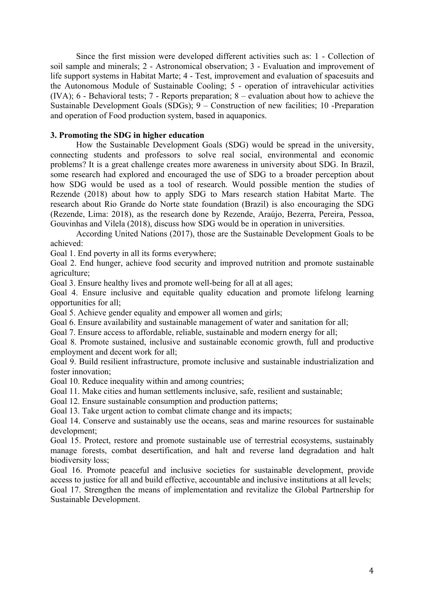Since the first mission were developed different activities such as: 1 - Collection of soil sample and minerals; 2 - Astronomical observation; 3 - Evaluation and improvement of life support systems in Habitat Marte; 4 - Test, improvement and evaluation of spacesuits and the Autonomous Module of Sustainable Cooling; 5 - operation of intravehicular activities (IVA); 6 - Behavioral tests; 7 - Reports preparation;  $8$  – evaluation about how to achieve the Sustainable Development Goals (SDGs); 9 – Construction of new facilities; 10 -Preparation and operation of Food production system, based in aquaponics.

## **3. Promoting the SDG in higher education**

How the Sustainable Development Goals (SDG) would be spread in the university, connecting students and professors to solve real social, environmental and economic problems? It is a great challenge creates more awareness in university about SDG. In Brazil, some research had explored and encouraged the use of SDG to a broader perception about how SDG would be used as a tool of research. Would possible mention the studies of Rezende (2018) about how to apply SDG to Mars research station Habitat Marte. The research about Rio Grande do Norte state foundation (Brazil) is also encouraging the SDG (Rezende, Lima: 2018), as the research done by Rezende, Araújo, Bezerra, Pereira, Pessoa, Gouvinhas and Vilela (2018), discuss how SDG would be in operation in universities.

According United Nations (2017), those are the Sustainable Development Goals to be achieved:

Goal 1. End poverty in all its forms everywhere;

Goal 2. End hunger, achieve food security and improved nutrition and promote sustainable agriculture;

Goal 3. Ensure healthy lives and promote well-being for all at all ages;

Goal 4. Ensure inclusive and equitable quality education and promote lifelong learning opportunities for all;

Goal 5. Achieve gender equality and empower all women and girls;

Goal 6. Ensure availability and sustainable management of water and sanitation for all;

Goal 7. Ensure access to affordable, reliable, sustainable and modern energy for all;

Goal 8. Promote sustained, inclusive and sustainable economic growth, full and productive employment and decent work for all;

Goal 9. Build resilient infrastructure, promote inclusive and sustainable industrialization and foster innovation;

Goal 10. Reduce inequality within and among countries;

Goal 11. Make cities and human settlements inclusive, safe, resilient and sustainable;

Goal 12. Ensure sustainable consumption and production patterns;

Goal 13. Take urgent action to combat climate change and its impacts:

Goal 14. Conserve and sustainably use the oceans, seas and marine resources for sustainable development;

Goal 15. Protect, restore and promote sustainable use of terrestrial ecosystems, sustainably manage forests, combat desertification, and halt and reverse land degradation and halt biodiversity loss;

Goal 16. Promote peaceful and inclusive societies for sustainable development, provide access to justice for all and build effective, accountable and inclusive institutions at all levels;

Goal 17. Strengthen the means of implementation and revitalize the Global Partnership for Sustainable Development.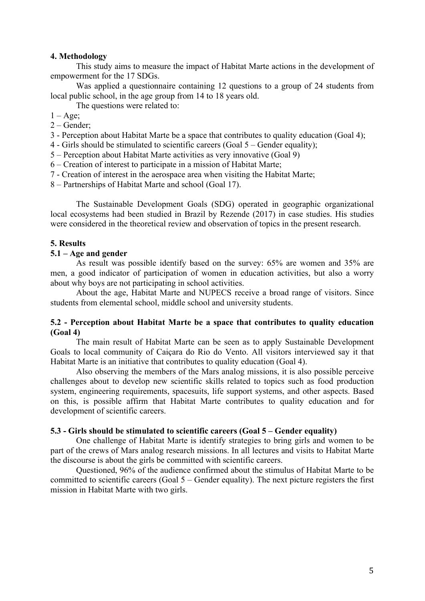# **4. Methodology**

This study aims to measure the impact of Habitat Marte actions in the development of empowerment for the 17 SDGs.

Was applied a questionnaire containing 12 questions to a group of 24 students from local public school, in the age group from 14 to 18 years old.

The questions were related to:

 $1 - \text{Age}$ ;

- 2 Gender;
- 3 Perception about Habitat Marte be a space that contributes to quality education (Goal 4);
- 4 Girls should be stimulated to scientific careers (Goal 5 Gender equality);
- 5 Perception about Habitat Marte activities as very innovative (Goal 9)
- 6 Creation of interest to participate in a mission of Habitat Marte;
- 7 Creation of interest in the aerospace area when visiting the Habitat Marte;
- 8 Partnerships of Habitat Marte and school (Goal 17).

The Sustainable Development Goals (SDG) operated in geographic organizational local ecosystems had been studied in Brazil by Rezende (2017) in case studies. His studies were considered in the theoretical review and observation of topics in the present research.

## **5. Results**

#### **5.1 – Age and gender**

As result was possible identify based on the survey: 65% are women and 35% are men, a good indicator of participation of women in education activities, but also a worry about why boys are not participating in school activities.

About the age, Habitat Marte and NUPECS receive a broad range of visitors. Since students from elemental school, middle school and university students.

# **5.2 - Perception about Habitat Marte be a space that contributes to quality education (Goal 4)**

The main result of Habitat Marte can be seen as to apply Sustainable Development Goals to local community of Caiçara do Rio do Vento. All visitors interviewed say it that Habitat Marte is an initiative that contributes to quality education (Goal 4).

Also observing the members of the Mars analog missions, it is also possible perceive challenges about to develop new scientific skills related to topics such as food production system, engineering requirements, spacesuits, life support systems, and other aspects. Based on this, is possible affirm that Habitat Marte contributes to quality education and for development of scientific careers.

#### **5.3 - Girls should be stimulated to scientific careers (Goal 5 – Gender equality)**

One challenge of Habitat Marte is identify strategies to bring girls and women to be part of the crews of Mars analog research missions. In all lectures and visits to Habitat Marte the discourse is about the girls be committed with scientific careers.

Questioned, 96% of the audience confirmed about the stimulus of Habitat Marte to be committed to scientific careers (Goal 5 – Gender equality). The next picture registers the first mission in Habitat Marte with two girls.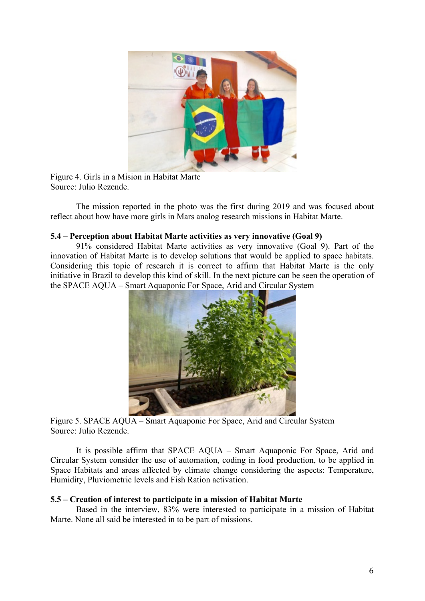

Figure 4. Girls in a Mision in Habitat Marte Source: Julio Rezende.

The mission reported in the photo was the first during 2019 and was focused about reflect about how have more girls in Mars analog research missions in Habitat Marte.

# **5.4 – Perception about Habitat Marte activities as very innovative (Goal 9)**

91% considered Habitat Marte activities as very innovative (Goal 9). Part of the innovation of Habitat Marte is to develop solutions that would be applied to space habitats. Considering this topic of research it is correct to affirm that Habitat Marte is the only initiative in Brazil to develop this kind of skill. In the next picture can be seen the operation of the SPACE AQUA – Smart Aquaponic For Space, Arid and Circular System



Figure 5. SPACE AQUA – Smart Aquaponic For Space, Arid and Circular System Source: Julio Rezende.

It is possible affirm that SPACE AQUA – Smart Aquaponic For Space, Arid and Circular System consider the use of automation, coding in food production, to be applied in Space Habitats and areas affected by climate change considering the aspects: Temperature, Humidity, Pluviometric levels and Fish Ration activation.

## **5.5 – Creation of interest to participate in a mission of Habitat Marte**

Based in the interview, 83% were interested to participate in a mission of Habitat Marte. None all said be interested in to be part of missions.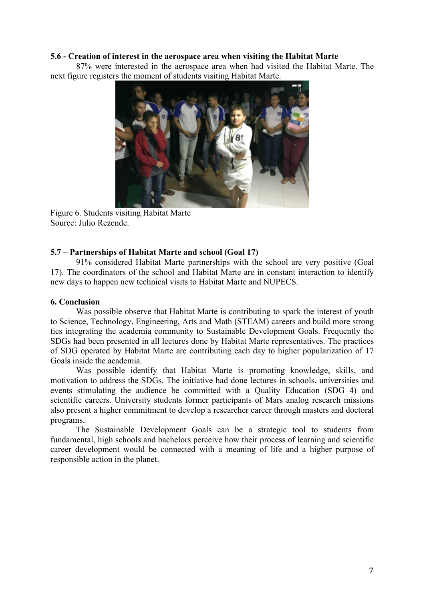# **5.6 - Creation of interest in the aerospace area when visiting the Habitat Marte**

87% were interested in the aerospace area when had visited the Habitat Marte. The next figure registers the moment of students visiting Habitat Marte.



Figure 6. Students visiting Habitat Marte Source: Julio Rezende.

# **5.7 – Partnerships of Habitat Marte and school (Goal 17)**

91% considered Habitat Marte partnerships with the school are very positive (Goal 17). The coordinators of the school and Habitat Marte are in constant interaction to identify new days to happen new technical visits to Habitat Marte and NUPECS.

# **6. Conclusion**

Was possible observe that Habitat Marte is contributing to spark the interest of youth to Science, Technology, Engineering, Arts and Math (STEAM) careers and build more strong ties integrating the academia community to Sustainable Development Goals. Frequently the SDGs had been presented in all lectures done by Habitat Marte representatives. The practices of SDG operated by Habitat Marte are contributing each day to higher popularization of 17 Goals inside the academia.

Was possible identify that Habitat Marte is promoting knowledge, skills, and motivation to address the SDGs. The initiative had done lectures in schools, universities and events stimulating the audience be committed with a Quality Education (SDG 4) and scientific careers. University students former participants of Mars analog research missions also present a higher commitment to develop a researcher career through masters and doctoral programs.

The Sustainable Development Goals can be a strategic tool to students from fundamental, high schools and bachelors perceive how their process of learning and scientific career development would be connected with a meaning of life and a higher purpose of responsible action in the planet.